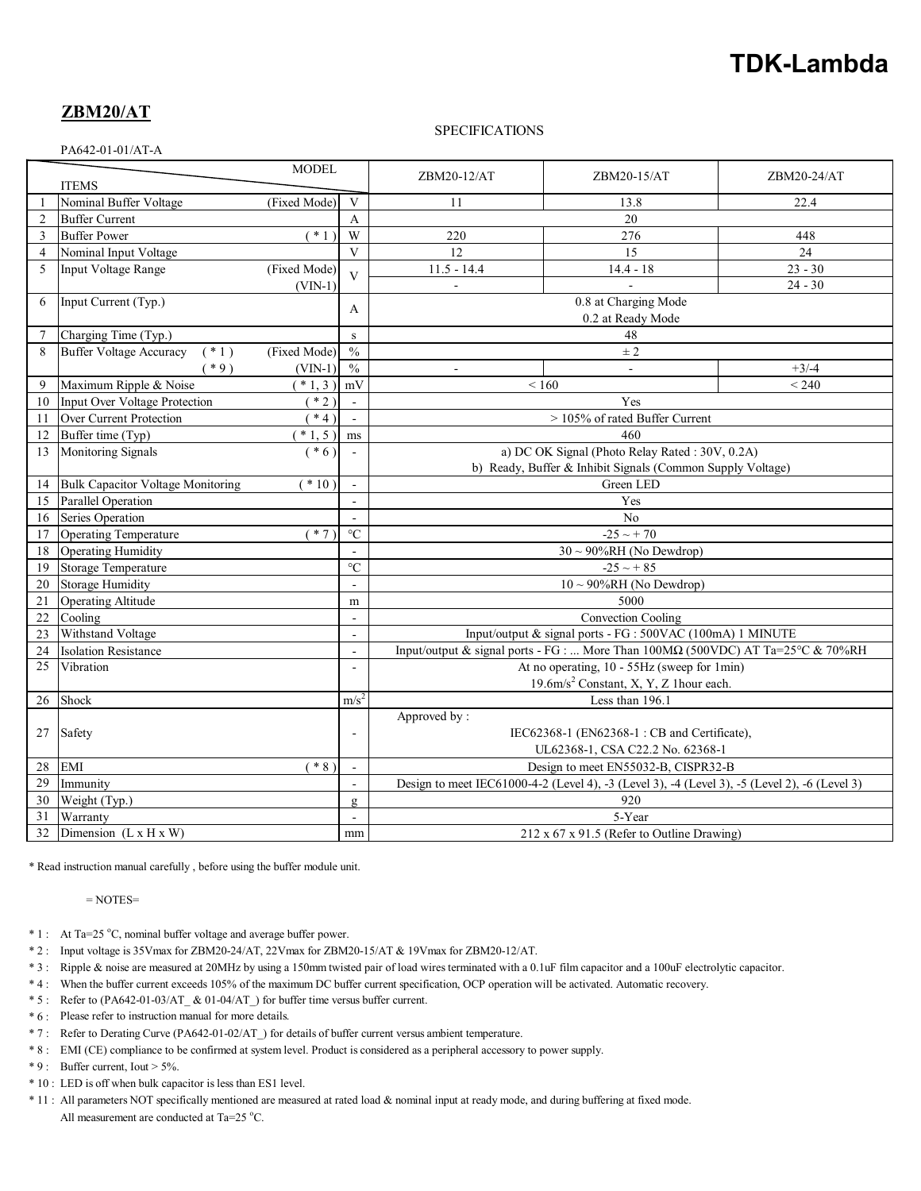# **TDK-Lambda**

## **ZBM20/AT**

#### SPECIFICATIONS

PA642-01-01/AT-A

| <b>MODEL</b><br><b>ITEMS</b> |                                          |                      | ZBM20-12/AT              | ZBM20-15/AT                                                                                   | ZBM20-24/AT          |           |
|------------------------------|------------------------------------------|----------------------|--------------------------|-----------------------------------------------------------------------------------------------|----------------------|-----------|
|                              | Nominal Buffer Voltage                   | (Fixed Mode)         | $\mathbf{V}$             | 11                                                                                            | 13.8                 | 22.4      |
| $\overline{2}$               | <b>Buffer Current</b>                    |                      | $\overline{A}$           | 20                                                                                            |                      |           |
| 3                            | <b>Buffer Power</b>                      | $\overline{\ }$ * 1) | W                        | 220                                                                                           | 276                  | 448       |
| $\overline{4}$               | Nominal Input Voltage                    |                      | $\overline{V}$           | 12                                                                                            | 15                   | 24        |
| 5                            | Input Voltage Range                      | (Fixed Mode)         | $\overline{V}$           | $11.5 - 14.4$                                                                                 | $14.4 - 18$          | $23 - 30$ |
|                              |                                          | $(VIN-1)$            |                          | $\sim$                                                                                        |                      | $24 - 30$ |
| 6                            | Input Current (Typ.)                     |                      |                          |                                                                                               | 0.8 at Charging Mode |           |
|                              |                                          |                      | A                        | 0.2 at Ready Mode                                                                             |                      |           |
| 7                            | Charging Time (Typ.)                     |                      | ${\bf S}$                | 48                                                                                            |                      |           |
| 8                            | <b>Buffer Voltage Accuracy</b><br>$(*1)$ | (Fixed Mode)         | $\frac{0}{0}$            | $\pm 2$                                                                                       |                      |           |
|                              | $*9)$                                    | $(VIN-1)$            | $\frac{0}{0}$            | $\sim$                                                                                        |                      | $+3/4$    |
| 9                            | Maximum Ripple & Noise                   | $(* 1, 3)$           | mV                       | ${}_{< 160}$<br>< 240                                                                         |                      |           |
| 10                           | Input Over Voltage Protection            | $*2)$                | $\mathcal{L}$            | Yes                                                                                           |                      |           |
| 11                           | Over Current Protection                  | $*4)$                | $\omega$                 | > 105% of rated Buffer Current                                                                |                      |           |
| 12                           | Buffer time (Typ)                        | $(* 1, 5)$           | ms                       | 460                                                                                           |                      |           |
| 13                           | Monitoring Signals                       | $(* 6)$              | $\blacksquare$           | a) DC OK Signal (Photo Relay Rated: 30V, 0.2A)                                                |                      |           |
|                              |                                          |                      |                          | b) Ready, Buffer & Inhibit Signals (Common Supply Voltage)                                    |                      |           |
| 14                           | Bulk Capacitor Voltage Monitoring        | $(*10)$              | $\mathbf{r}$             | Green LED                                                                                     |                      |           |
| 15                           | Parallel Operation                       |                      | $\sim$                   | Yes                                                                                           |                      |           |
| 16                           | Series Operation                         |                      |                          | No                                                                                            |                      |           |
| 17                           | <b>Operating Temperature</b>             | $(* 7)$              | $\rm ^{\circ}C$          | $-25 \sim +70$                                                                                |                      |           |
| 18                           | Operating Humidity                       |                      | $\mathbf{r}$             | $30 \sim 90\% RH$ (No Dewdrop)                                                                |                      |           |
| 19                           | Storage Temperature                      |                      | $\overline{C}$           | $-25 \sim +85$                                                                                |                      |           |
| 20                           | <b>Storage Humidity</b>                  |                      | $\overline{a}$           | $10 \sim 90\% RH$ (No Dewdrop)                                                                |                      |           |
| 21                           | <b>Operating Altitude</b>                |                      | m                        | 5000                                                                                          |                      |           |
| 22                           | Cooling                                  |                      | $\overline{\phantom{a}}$ | Convection Cooling                                                                            |                      |           |
| 23                           | Withstand Voltage                        |                      | $\mathbf{r}$             | Input/output & signal ports - FG : 500VAC (100mA) 1 MINUTE                                    |                      |           |
| 24                           | <b>Isolation Resistance</b>              |                      | $\mathbf{r}$             | Input/output & signal ports - FG :  More Than 100M $\Omega$ (500VDC) AT Ta=25°C & 70%RH       |                      |           |
| 25                           | Vibration                                |                      | $\overline{a}$           | At no operating, 10 - 55Hz (sweep for 1min)                                                   |                      |           |
|                              |                                          |                      |                          | 19.6m/s <sup>2</sup> Constant, X, Y, Z 1hour each.                                            |                      |           |
| 26                           | Shock                                    |                      | $m/s^2$                  | Less than 196.1                                                                               |                      |           |
|                              | Safety                                   |                      |                          | Approved by:                                                                                  |                      |           |
| 27                           |                                          |                      | $\overline{a}$           | IEC62368-1 (EN62368-1: CB and Certificate),                                                   |                      |           |
|                              |                                          |                      |                          | UL62368-1, CSA C22.2 No. 62368-1                                                              |                      |           |
| 28                           | <b>EMI</b>                               | $(* 8)$              | $\omega$                 | Design to meet EN55032-B, CISPR32-B                                                           |                      |           |
| 29                           | Immunity                                 |                      | $\blacksquare$           | Design to meet IEC61000-4-2 (Level 4), -3 (Level 3), -4 (Level 3), -5 (Level 2), -6 (Level 3) |                      |           |
| 30                           | Weight (Typ.)<br>g<br>$\mathbf{r}$       |                      |                          |                                                                                               | 920                  |           |
| 31                           | Warranty                                 |                      |                          | 5-Year                                                                                        |                      |           |
| 32                           | Dimension $(L x H x W)$<br>mm            |                      |                          | $212 \times 67 \times 91.5$ (Refer to Outline Drawing)                                        |                      |           |

\* Read instruction manual carefully , before using the buffer module unit.

 $=$  NOTES $=$ 

- \* 1 : At Ta=25 °C, nominal buffer voltage and average buffer power.
- \* 2 : Input voltage is 35Vmax for ZBM20-24/AT, 22Vmax for ZBM20-15/AT & 19Vmax for ZBM20-12/AT.
- \* 3 : Ripple & noise are measured at 20MHz by using a 150mm twisted pair of load wires terminated with a 0.1uF film capacitor and a 100uF electrolytic capacitor.
- \* 4 : When the buffer current exceeds 105% of the maximum DC buffer current specification, OCP operation will be activated. Automatic recovery.
- \* 5 : Refer to (PA642-01-03/AT\_ & 01-04/AT\_) for buffer time versus buffer current.
- \* 6 : Please refer to instruction manual for more details.
- \* 7 : Refer to Derating Curve (PA642-01-02/AT\_) for details of buffer current versus ambient temperature.
- \* 8 : EMI (CE) compliance to be confirmed at system level. Product is considered as a peripheral accessory to power supply.
- $* 9$ : Buffer current, Iout > 5%.
- \* 10 : LED is off when bulk capacitor is less than ES1 level.
- \* 11 : All parameters NOT specifically mentioned are measured at rated load & nominal input at ready mode, and during buffering at fixed mode. All measurement are conducted at Ta=25  $^{\circ}$ C.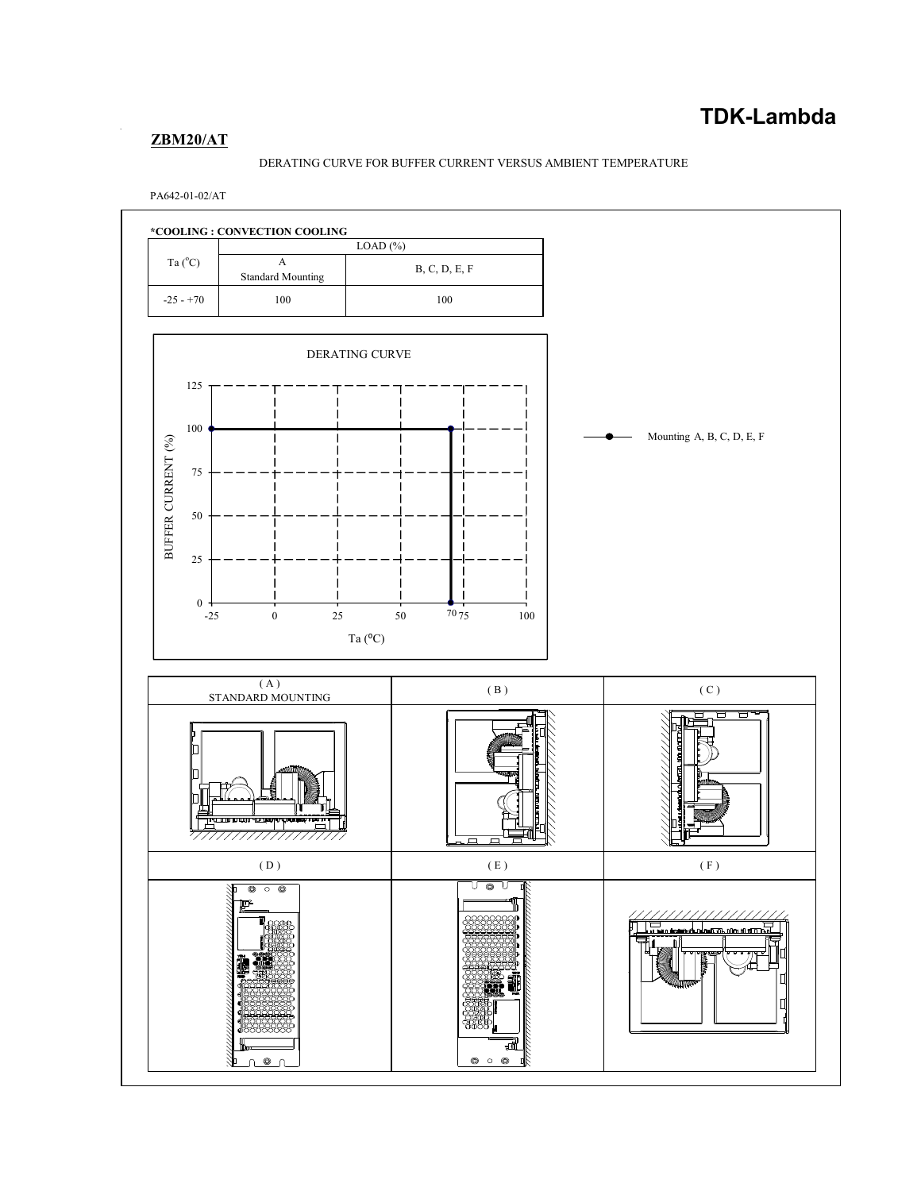## **ZBM20/AT**

## DERATING CURVE FOR BUFFER CURRENT VERSUS AMBIENT TEMPERATURE

PA642-01-02/AT

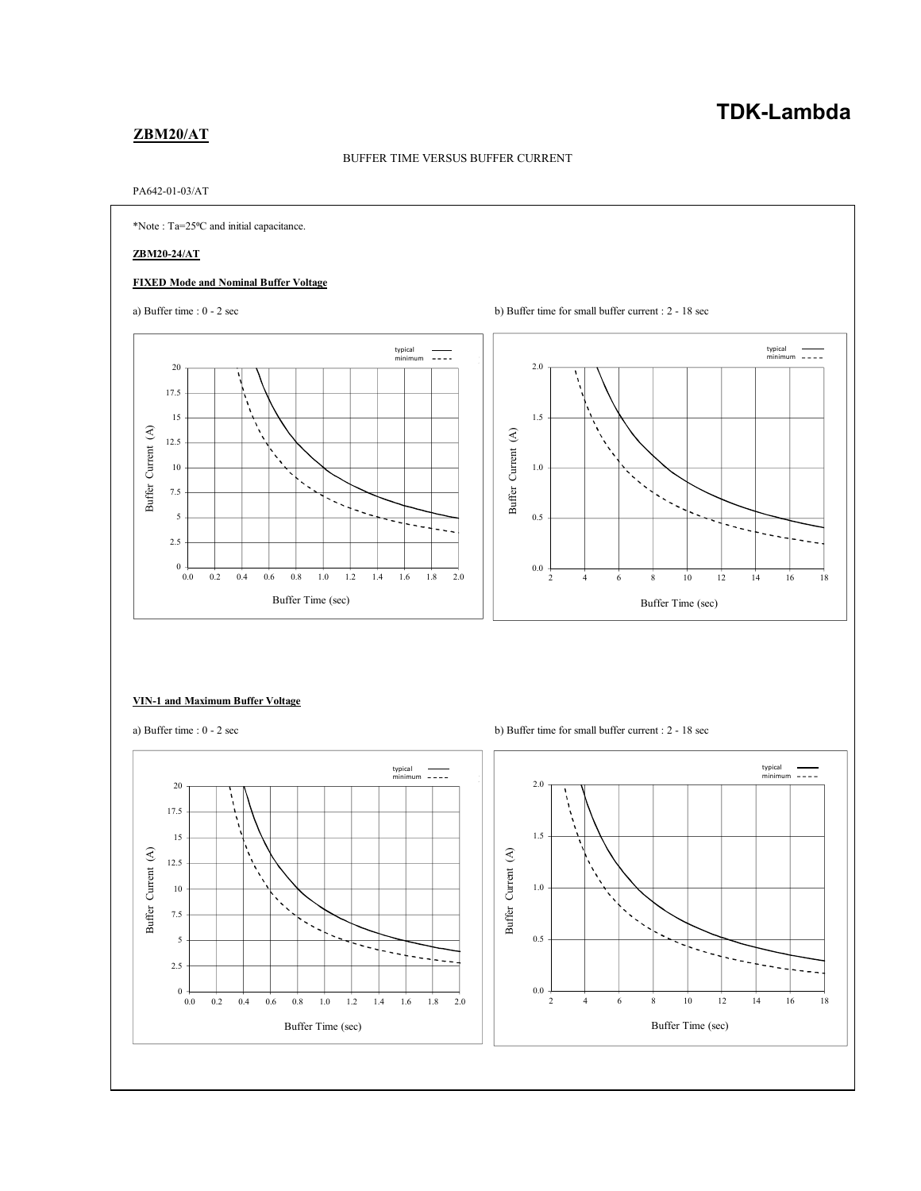## **TDK-Lambda**

## **ZBM20/AT**

## BUFFER TIME VERSUS BUFFER CURRENT

#### PA642-01-03/AT



#### **VIN-1 and Maximum Buffer Voltage**



a) Buffer time : 0 - 2 sec b) Buffer time for small buffer current : 2 - 18 sec